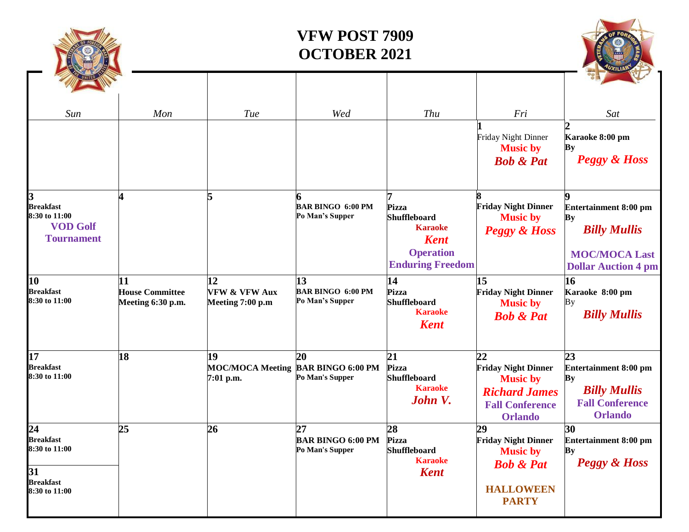

| 17                                | 18 | 19                                 | 20                       | 21                  | 22                         | 23                           |
|-----------------------------------|----|------------------------------------|--------------------------|---------------------|----------------------------|------------------------------|
| <b>Breakfast</b>                  |    | MOC/MOCA Meeting BAR BINGO 6:00 PM |                          | Pizza               | <b>Friday Night Dinner</b> | <b>Entertainment 8:00 pm</b> |
| 8:30 to 11:00                     |    | $7:01$ p.m.                        | Po Man's Supper          | <b>Shuffleboard</b> | <b>Music by</b>            | By                           |
|                                   |    |                                    |                          | <b>Karaoke</b>      | <b>Richard James</b>       | <b>Billy Mullis</b>          |
|                                   |    |                                    |                          | John V.             | <b>Fall Conference</b>     | <b>Fall Conference</b>       |
|                                   |    |                                    |                          |                     | <b>Orlando</b>             | <b>Orlando</b>               |
| 24                                | 25 | 26                                 | 27                       | 28                  | 29                         | 30                           |
| Breakfast                         |    |                                    | <b>BAR BINGO 6:00 PM</b> | <b>Pizza</b>        | <b>Friday Night Dinner</b> | <b>Entertainment 8:00 pm</b> |
| 8:30 to 11:00                     |    |                                    | Po Man's Supper          | <b>Shuffleboard</b> | <b>Music by</b>            | By                           |
|                                   |    |                                    |                          | <b>Karaoke</b>      | <b>Bob &amp; Pat</b>       | <b>Peggy &amp; Hoss</b>      |
| 31                                |    |                                    |                          | <b>Kent</b>         |                            |                              |
| <b>Breakfast</b><br>8:30 to 11:00 |    |                                    |                          |                     | <b>HALLOWEEN</b>           |                              |
|                                   |    |                                    |                          |                     | <b>PARTY</b>               |                              |

**2**

**By** 

**9**

**By**

**16**

By

**Karaoke 8:00 pm**

*Peggy & Hoss*

**Entertainment 8:00 pm**

*Billy Mullis*

**MOC/MOCA Last Dollar Auction 4 pm**

*Billy Mullis*

**Karaoke 8:00 pm**